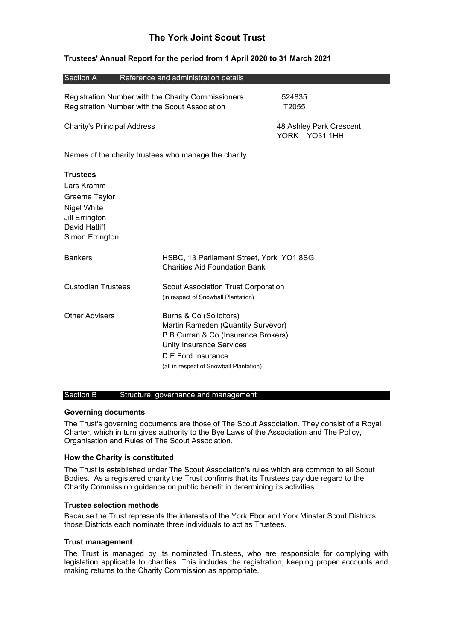# **The York Joint Scout Trust**

### **Trustees' Annual Report for the period from 1 April 2020 to 31 March 2021**

| Section A                                                                                                                                    | Reference and administration details                                                                                                                                                                     |                                          |
|----------------------------------------------------------------------------------------------------------------------------------------------|----------------------------------------------------------------------------------------------------------------------------------------------------------------------------------------------------------|------------------------------------------|
| Registration Number with the Charity Commissioners<br>Registration Number with the Scout Association                                         |                                                                                                                                                                                                          | 524835<br>T2055                          |
| <b>Charity's Principal Address</b>                                                                                                           |                                                                                                                                                                                                          | 48 Ashley Park Crescent<br>YORK YO31 1HH |
| Names of the charity trustees who manage the charity                                                                                         |                                                                                                                                                                                                          |                                          |
| <b>Trustees</b><br>Lars Kramm<br>Graeme Taylor<br>Nigel White<br><b>Jill Errington</b><br>David Hatliff<br>Simon Errington<br><b>Bankers</b> | HSBC, 13 Parliament Street, York YO1 8SG<br><b>Charities Aid Foundation Bank</b>                                                                                                                         |                                          |
| <b>Custodian Trustees</b>                                                                                                                    | <b>Scout Association Trust Corporation</b><br>(in respect of Snowball Plantation)                                                                                                                        |                                          |
| <b>Other Advisers</b>                                                                                                                        | Burns & Co (Solicitors)<br>Martin Ramsden (Quantity Surveyor)<br>P B Curran & Co (Insurance Brokers)<br><b>Unity Insurance Services</b><br>D E Ford Insurance<br>(all in respect of Snowball Plantation) |                                          |

### Section B Structure, governance and management

## **Governing documents**

The Trust's governing documents are those of The Scout Association. They consist of a Royal Charter, which in turn gives authority to the Bye Laws of the Association and The Policy, Organisation and Rules of The Scout Association.

### **How the Charity is constituted**

The Trust is established under The Scout Association's rules which are common to all Scout Bodies. As a registered charity the Trust confirms that its Trustees pay due regard to the Charity Commission guidance on public benefit in determining its activities.

#### **Trustee selection methods**

Because the Trust represents the interests of the York Ebor and York Minster Scout Districts, those Districts each nominate three individuals to act as Trustees.

#### **Trust management**

The Trust is managed by its nominated Trustees, who are responsible for complying with legislation applicable to charities. This includes the registration, keeping proper accounts and making returns to the Charity Commission as appropriate.